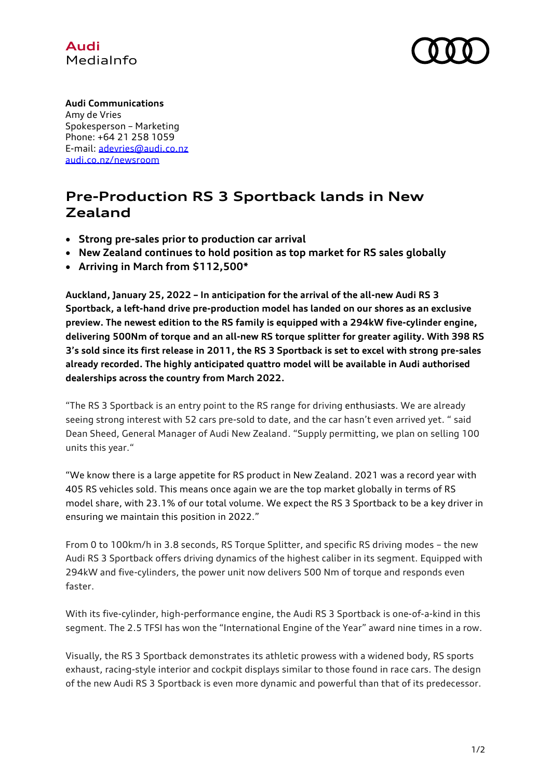



## **Audi Communications**

Amy de Vries Spokesperson – Marketing Phone: +64 21 258 1059 E-mail: [adevries@audi.co.nz](mailto:adevries@audi.co.nz) [audi.co.nz/newsroom](http://www.audi.co.nz/newsroom)

## **Pre-Production RS 3 Sportback lands in New Zealand**

- **Strong pre-sales prior to production car arrival**
- **New Zealand continues to hold position as top market for RS sales globally**
- **Arriving in March from \$112,500\***

**Auckland, January 25, 2022 – In anticipation for the arrival of the all-new Audi RS 3 Sportback, a left-hand drive pre-production model has landed on our shores as an exclusive preview. The newest edition to the RS family is equipped with a 294kW five-cylinder engine, delivering 500Nm of torque and an all-new RS torque splitter for greater agility. With 398 RS 3's sold since its first release in 2011, the RS 3 Sportback is set to excel with strong pre-sales already recorded. The highly anticipated quattro model will be available in Audi authorised dealerships across the country from March 2022.**

"The RS 3 Sportback is an entry point to the RS range for driving enthusiasts. We are already seeing strong interest with 52 cars pre-sold to date, and the car hasn't even arrived yet. " said Dean Sheed, General Manager of Audi New Zealand. "Supply permitting, we plan on selling 100 units this year."

"We know there is a large appetite for RS product in New Zealand. 2021 was a record year with 405 RS vehicles sold. This means once again we are the top market globally in terms of RS model share, with 23.1% of our total volume. We expect the RS 3 Sportback to be a key driver in ensuring we maintain this position in 2022."

From 0 to 100km/h in 3.8 seconds, RS Torque Splitter, and specific RS driving modes – the new Audi RS 3 Sportback offers driving dynamics of the highest caliber in its segment. Equipped with 294kW and five-cylinders, the power unit now delivers 500 Nm of torque and responds even faster.

With its five-cylinder, high-performance engine, the Audi RS 3 Sportback is one-of-a-kind in this segment. The 2.5 TFSI has won the "International Engine of the Year" award nine times in a row.

Visually, the RS 3 Sportback demonstrates its athletic prowess with a widened body, RS sports exhaust, racing-style interior and cockpit displays similar to those found in race cars. The design of the new Audi RS 3 Sportback is even more dynamic and powerful than that of its predecessor.